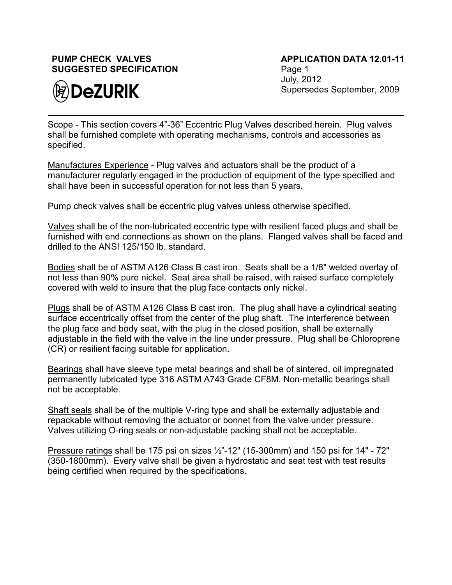## **PUMP CHECK VALVES SUGGESTED SPECIFICATION**



**APPLICATION DATA 12.01-11** Page 1 July, 2012 Supersedes September, 2009

Scope - This section covers 4"-36" Eccentric Plug Valves described herein. Plug valves shall be furnished complete with operating mechanisms, controls and accessories as specified.

Manufactures Experience - Plug valves and actuators shall be the product of a manufacturer regularly engaged in the production of equipment of the type specified and shall have been in successful operation for not less than 5 years.

Pump check valves shall be eccentric plug valves unless otherwise specified.

Valves shall be of the non-lubricated eccentric type with resilient faced plugs and shall be furnished with end connections as shown on the plans. Flanged valves shall be faced and drilled to the ANSI 125/150 lb. standard.

Bodies shall be of ASTM A126 Class B cast iron. Seats shall be a 1/8" welded overlay of not less than 90% pure nickel. Seat area shall be raised, with raised surface completely covered with weld to insure that the plug face contacts only nickel.

Plugs shall be of ASTM A126 Class B cast iron. The plug shall have a cylindrical seating surface eccentrically offset from the center of the plug shaft. The interference between the plug face and body seat, with the plug in the closed position, shall be externally adjustable in the field with the valve in the line under pressure. Plug shall be Chloroprene (CR) or resilient facing suitable for application.

Bearings shall have sleeve type metal bearings and shall be of sintered, oil impregnated permanently lubricated type 316 ASTM A743 Grade CF8M. Non-metallic bearings shall not be acceptable.

Shaft seals shall be of the multiple V-ring type and shall be externally adjustable and repackable without removing the actuator or bonnet from the valve under pressure. Valves utilizing O-ring seals or non-adjustable packing shall not be acceptable.

Pressure ratings shall be 175 psi on sizes  $\frac{1}{2}$ "-12" (15-300mm) and 150 psi for 14" - 72" (350-1800mm). Every valve shall be given a hydrostatic and seat test with test results being certified when required by the specifications.